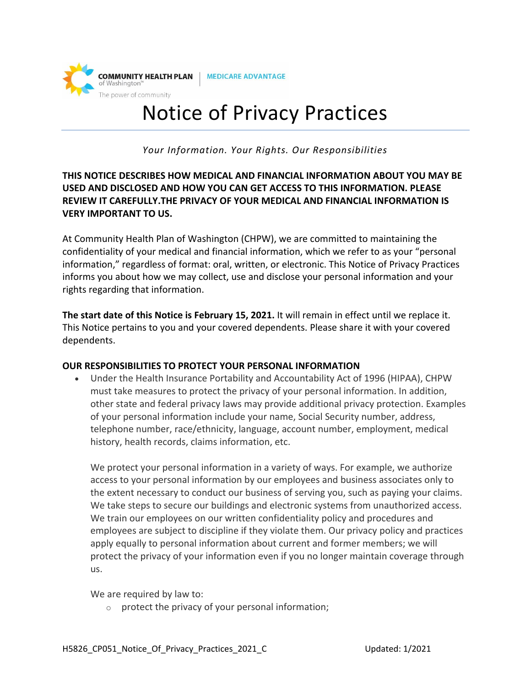

**MEDICARE ADVANTAGE** 

# Notice of Privacy Practices

*Your Information. Your Rights. Our Responsibilities*

## **THIS NOTICE DESCRIBES HOW MEDICAL AND FINANCIAL INFORMATION ABOUT YOU MAY BE USED AND DISCLOSED AND HOW YOU CAN GET ACCESS TO THIS INFORMATION. PLEASE REVIEW IT CAREFULLY.THE PRIVACY OF YOUR MEDICAL AND FINANCIAL INFORMATION IS VERY IMPORTANT TO US.**

At Community Health Plan of Washington (CHPW), we are committed to maintaining the confidentiality of your medical and financial information, which we refer to as your "personal information," regardless of format: oral, written, or electronic. This Notice of Privacy Practices informs you about how we may collect, use and disclose your personal information and your rights regarding that information.

**The start date of this Notice is February 15, 2021.** It will remain in effect until we replace it. This Notice pertains to you and your covered dependents. Please share it with your covered dependents.

## **OUR RESPONSIBILITIES TO PROTECT YOUR PERSONAL INFORMATION**

• Under the Health Insurance Portability and Accountability Act of 1996 (HIPAA), CHPW must take measures to protect the privacy of your personal information. In addition, other state and federal privacy laws may provide additional privacy protection. Examples of your personal information include your name, Social Security number, address, telephone number, race/ethnicity, language, account number, employment, medical history, health records, claims information, etc.

We protect your personal information in a variety of ways. For example, we authorize access to your personal information by our employees and business associates only to the extent necessary to conduct our business of serving you, such as paying your claims. We take steps to secure our buildings and electronic systems from unauthorized access. We train our employees on our written confidentiality policy and procedures and employees are subject to discipline if they violate them. Our privacy policy and practices apply equally to personal information about current and former members; we will protect the privacy of your information even if you no longer maintain coverage through us.

We are required by law to:

 $\circ$  protect the privacy of your personal information;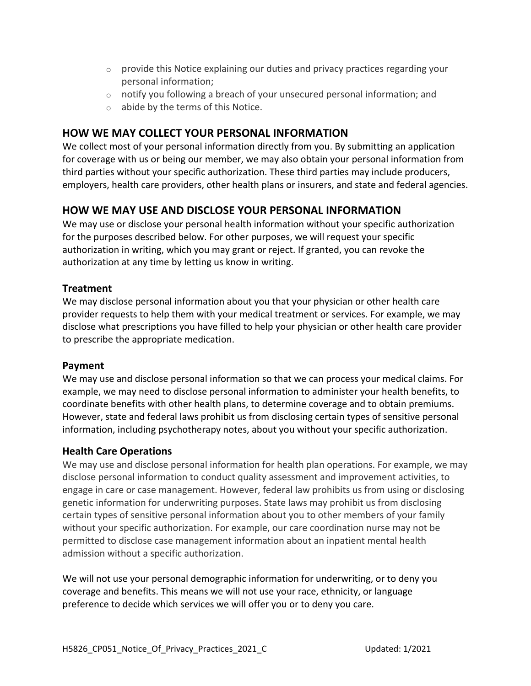- $\circ$  provide this Notice explaining our duties and privacy practices regarding your personal information;
- $\circ$  notify you following a breach of your unsecured personal information; and
- o abide by the terms of this Notice.

# **HOW WE MAY COLLECT YOUR PERSONAL INFORMATION**

We collect most of your personal information directly from you. By submitting an application for coverage with us or being our member, we may also obtain your personal information from third parties without your specific authorization. These third parties may include producers, employers, health care providers, other health plans or insurers, and state and federal agencies.

# **HOW WE MAY USE AND DISCLOSE YOUR PERSONAL INFORMATION**

We may use or disclose your personal health information without your specific authorization for the purposes described below. For other purposes, we will request your specific authorization in writing, which you may grant or reject. If granted, you can revoke the authorization at any time by letting us know in writing.

## **Treatment**

We may disclose personal information about you that your physician or other health care provider requests to help them with your medical treatment or services. For example, we may disclose what prescriptions you have filled to help your physician or other health care provider to prescribe the appropriate medication.

## **Payment**

We may use and disclose personal information so that we can process your medical claims. For example, we may need to disclose personal information to administer your health benefits, to coordinate benefits with other health plans, to determine coverage and to obtain premiums. However, state and federal laws prohibit us from disclosing certain types of sensitive personal information, including psychotherapy notes, about you without your specific authorization.

## **Health Care Operations**

We may use and disclose personal information for health plan operations. For example, we may disclose personal information to conduct quality assessment and improvement activities, to engage in care or case management. However, federal law prohibits us from using or disclosing genetic information for underwriting purposes. State laws may prohibit us from disclosing certain types of sensitive personal information about you to other members of your family without your specific authorization. For example, our care coordination nurse may not be permitted to disclose case management information about an inpatient mental health admission without a specific authorization.

We will not use your personal demographic information for underwriting, or to deny you coverage and benefits. This means we will not use your race, ethnicity, or language preference to decide which services we will offer you or to deny you care.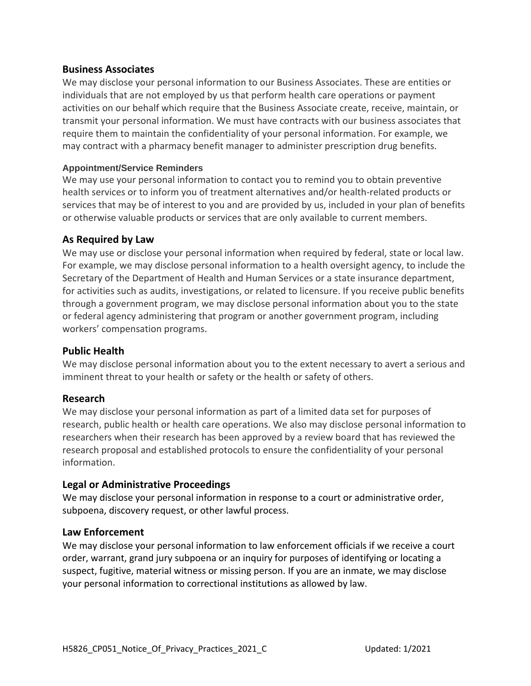### **Business Associates**

We may disclose your personal information to our Business Associates. These are entities or individuals that are not employed by us that perform health care operations or payment activities on our behalf which require that the Business Associate create, receive, maintain, or transmit your personal information. We must have contracts with our business associates that require them to maintain the confidentiality of your personal information. For example, we may contract with a pharmacy benefit manager to administer prescription drug benefits.

#### **Appointment/Service Reminders**

We may use your personal information to contact you to remind you to obtain preventive health services or to inform you of treatment alternatives and/or health-related products or services that may be of interest to you and are provided by us, included in your plan of benefits or otherwise valuable products or services that are only available to current members.

## **As Required by Law**

We may use or disclose your personal information when required by federal, state or local law. For example, we may disclose personal information to a health oversight agency, to include the Secretary of the Department of Health and Human Services or a state insurance department, for activities such as audits, investigations, or related to licensure. If you receive public benefits through a government program, we may disclose personal information about you to the state or federal agency administering that program or another government program, including workers' compensation programs.

#### **Public Health**

We may disclose personal information about you to the extent necessary to avert a serious and imminent threat to your health or safety or the health or safety of others.

#### **Research**

We may disclose your personal information as part of a limited data set for purposes of research, public health or health care operations. We also may disclose personal information to researchers when their research has been approved by a review board that has reviewed the research proposal and established protocols to ensure the confidentiality of your personal information.

#### **Legal or Administrative Proceedings**

We may disclose your personal information in response to a court or administrative order, subpoena, discovery request, or other lawful process.

#### **Law Enforcement**

We may disclose your personal information to law enforcement officials if we receive a court order, warrant, grand jury subpoena or an inquiry for purposes of identifying or locating a suspect, fugitive, material witness or missing person. If you are an inmate, we may disclose your personal information to correctional institutions as allowed by law.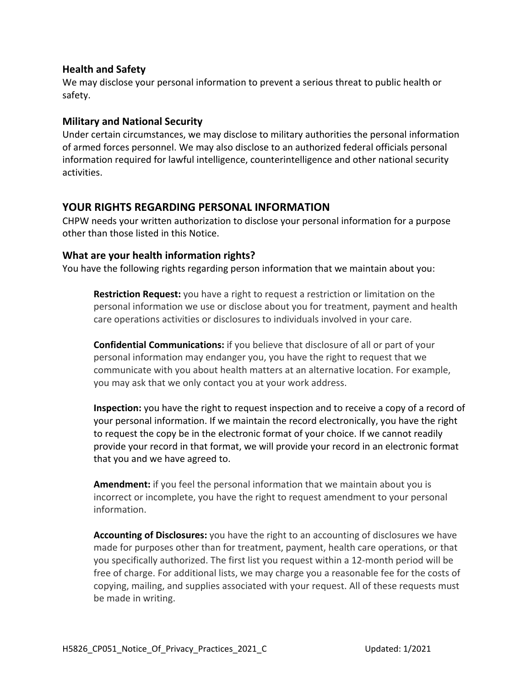## **Health and Safety**

We may disclose your personal information to prevent a serious threat to public health or safety.

#### **Military and National Security**

Under certain circumstances, we may disclose to military authorities the personal information of armed forces personnel. We may also disclose to an authorized federal officials personal information required for lawful intelligence, counterintelligence and other national security activities.

## **YOUR RIGHTS REGARDING PERSONAL INFORMATION**

CHPW needs your written authorization to disclose your personal information for a purpose other than those listed in this Notice.

#### **What are your health information rights?**

You have the following rights regarding person information that we maintain about you:

**Restriction Request:** you have a right to request a restriction or limitation on the personal information we use or disclose about you for treatment, payment and health care operations activities or disclosures to individuals involved in your care.

**Confidential Communications:** if you believe that disclosure of all or part of your personal information may endanger you, you have the right to request that we communicate with you about health matters at an alternative location. For example, you may ask that we only contact you at your work address.

**Inspection:** you have the right to request inspection and to receive a copy of a record of your personal information. If we maintain the record electronically, you have the right to request the copy be in the electronic format of your choice. If we cannot readily provide your record in that format, we will provide your record in an electronic format that you and we have agreed to.

**Amendment:** if you feel the personal information that we maintain about you is incorrect or incomplete, you have the right to request amendment to your personal information.

**Accounting of Disclosures:** you have the right to an accounting of disclosures we have made for purposes other than for treatment, payment, health care operations, or that you specifically authorized. The first list you request within a 12-month period will be free of charge. For additional lists, we may charge you a reasonable fee for the costs of copying, mailing, and supplies associated with your request. All of these requests must be made in writing.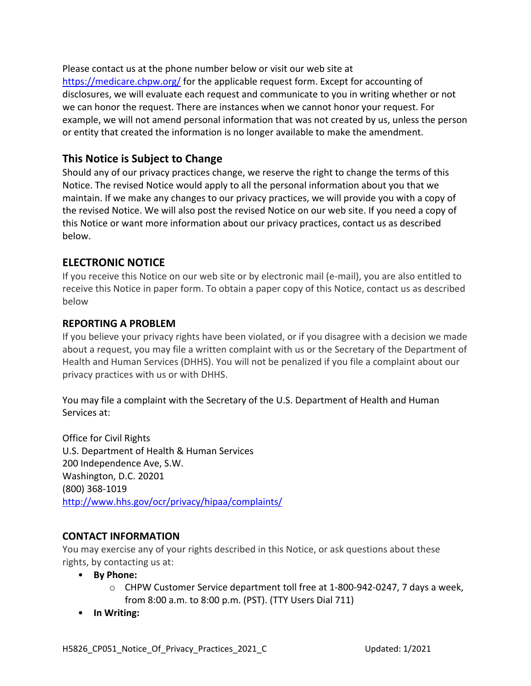Please contact us at the phone number below or visit our web site at <https://medicare.chpw.org/> for the applicable request form. Except for accounting of disclosures, we will evaluate each request and communicate to you in writing whether or not we can honor the request. There are instances when we cannot honor your request. For example, we will not amend personal information that was not created by us, unless the person or entity that created the information is no longer available to make the amendment.

## **This Notice is Subject to Change**

Should any of our privacy practices change, we reserve the right to change the terms of this Notice. The revised Notice would apply to all the personal information about you that we maintain. If we make any changes to our privacy practices, we will provide you with a copy of the revised Notice. We will also post the revised Notice on our web site. If you need a copy of this Notice or want more information about our privacy practices, contact us as described below.

# **ELECTRONIC NOTICE**

If you receive this Notice on our web site or by electronic mail (e-mail), you are also entitled to receive this Notice in paper form. To obtain a paper copy of this Notice, contact us as described below

## **REPORTING A PROBLEM**

If you believe your privacy rights have been violated, or if you disagree with a decision we made about a request, you may file a written complaint with us or the Secretary of the Department of Health and Human Services (DHHS). You will not be penalized if you file a complaint about our privacy practices with us or with DHHS.

You may file a complaint with the Secretary of the U.S. Department of Health and Human Services at:

Office for Civil Rights U.S. Department of Health & Human Services 200 Independence Ave, S.W. Washington, D.C. 20201 (800) 368-1019 <http://www.hhs.gov/ocr/privacy/hipaa/complaints/>

## **CONTACT INFORMATION**

You may exercise any of your rights described in this Notice, or ask questions about these rights, by contacting us at:

- **By Phone:**
	- $\circ$  CHPW Customer Service department toll free at 1-800-942-0247, 7 days a week, from 8:00 a.m. to 8:00 p.m. (PST). (TTY Users Dial 711)
- **In Writing:**